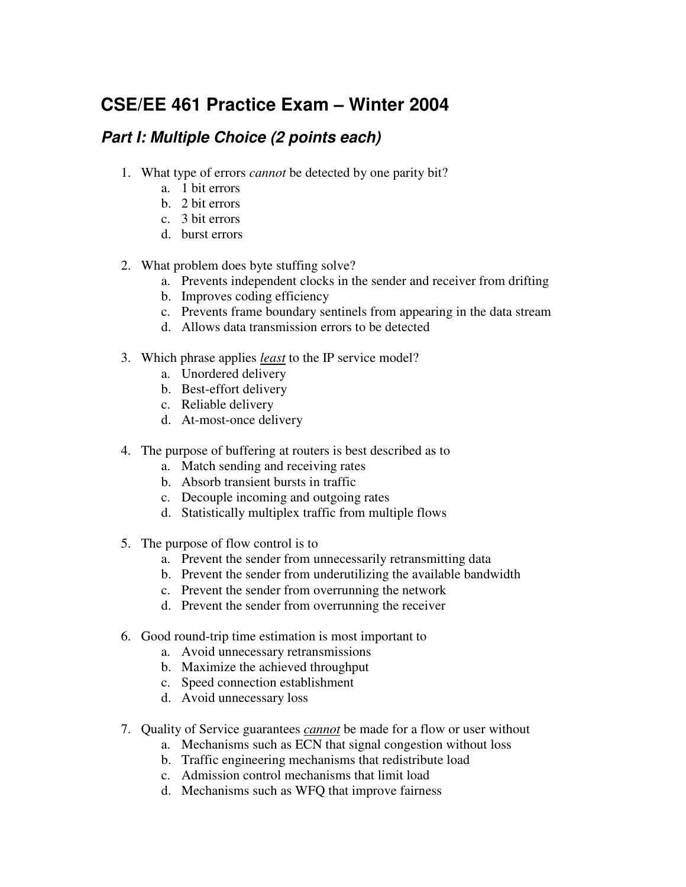## **CSE/EE 461 Practice Exam – Winter 2004**

## *Part I: Multiple Choice (2 points each)*

- 1. What type of errors *cannot* be detected by one parity bit?
	- a. 1 bit errors
	- b. 2 bit errors
	- c. 3 bit errors
	- d. burst errors
- 2. What problem does byte stuffing solve?
	- a. Prevents independent clocks in the sender and receiver from drifting
	- b. Improves coding efficiency
	- c. Prevents frame boundary sentinels from appearing in the data stream
	- d. Allows data transmission errors to be detected
- 3. Which phrase applies *least* to the IP service model?
	- a. Unordered delivery
	- b. Best-effort delivery
	- c. Reliable delivery
	- d. At-most-once delivery
- 4. The purpose of buffering at routers is best described as to
	- a. Match sending and receiving rates
	- b. Absorb transient bursts in traffic
	- c. Decouple incoming and outgoing rates
	- d. Statistically multiplex traffic from multiple flows
- 5. The purpose of flow control is to
	- a. Prevent the sender from unnecessarily retransmitting data
	- b. Prevent the sender from underutilizing the available bandwidth
	- c. Prevent the sender from overrunning the network
	- d. Prevent the sender from overrunning the receiver
- 6. Good round-trip time estimation is most important to
	- a. Avoid unnecessary retransmissions
	- b. Maximize the achieved throughput
	- c. Speed connection establishment
	- d. Avoid unnecessary loss
- 7. Quality of Service guarantees *cannot* be made for a flow or user without
	- a. Mechanisms such as ECN that signal congestion without loss
	- b. Traffic engineering mechanisms that redistribute load
	- c. Admission control mechanisms that limit load
	- d. Mechanisms such as WFQ that improve fairness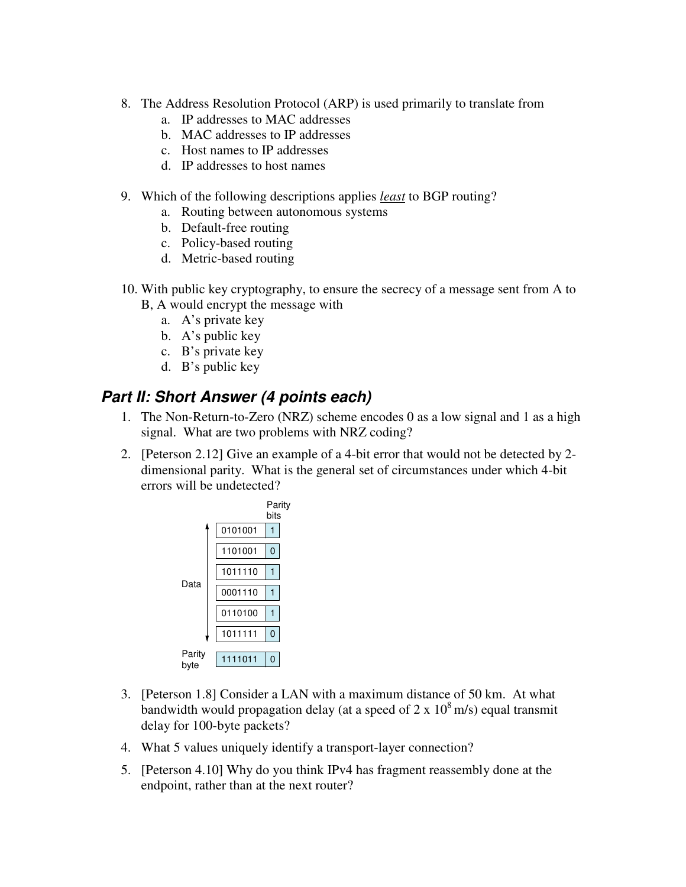- 8. The Address Resolution Protocol (ARP) is used primarily to translate from
	- a. IP addresses to MAC addresses
	- b. MAC addresses to IP addresses
	- c. Host names to IP addresses
	- d. IP addresses to host names
- 9. Which of the following descriptions applies *least* to BGP routing?
	- a. Routing between autonomous systems
	- b. Default-free routing
	- c. Policy-based routing
	- d. Metric-based routing
- 10. With public key cryptography, to ensure the secrecy of a message sent from A to B, A would encrypt the message with
	- a. A's private key
	- b. A's public key
	- c. B's private key
	- d. B's public key

## *Part II: Short Answer (4 points each)*

- 1. The Non-Return-to-Zero (NRZ) scheme encodes 0 as a low signal and 1 as a high signal. What are two problems with NRZ coding?
- 2. [Peterson 2.12] Give an example of a 4-bit error that would not be detected by 2 dimensional parity. What is the general set of circumstances under which 4-bit errors will be undetected?

|                |         | Parity<br>bits |  |
|----------------|---------|----------------|--|
|                | 0101001 |                |  |
| Data           | 1101001 | 0              |  |
|                | 1011110 |                |  |
|                | 0001110 |                |  |
|                | 0110100 |                |  |
|                | 1011111 | 0              |  |
| Parity<br>byte | 1111011 | O              |  |

- 3. [Peterson 1.8] Consider a LAN with a maximum distance of 50 km. At what bandwidth would propagation delay (at a speed of 2 x  $10^8$  m/s) equal transmit delay for 100-byte packets?
- 4. What 5 values uniquely identify a transport-layer connection?
- 5. [Peterson 4.10] Why do you think IPv4 has fragment reassembly done at the endpoint, rather than at the next router?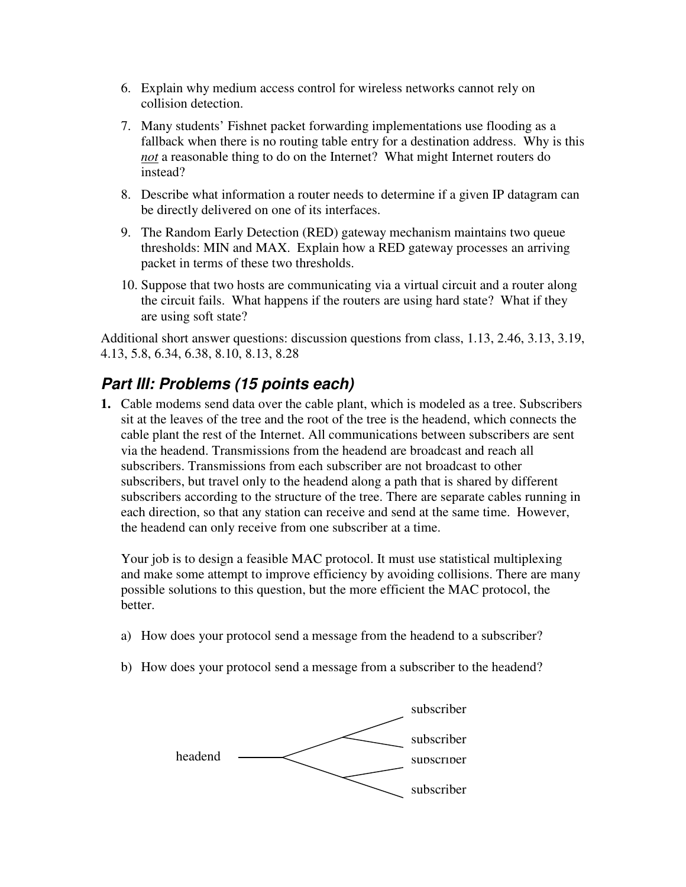- 6. Explain why medium access control for wireless networks cannot rely on collision detection.
- 7. Many students' Fishnet packet forwarding implementations use flooding as a fallback when there is no routing table entry for a destination address. Why is this *not* a reasonable thing to do on the Internet? What might Internet routers do instead?
- 8. Describe what information a router needs to determine if a given IP datagram can be directly delivered on one of its interfaces.
- 9. The Random Early Detection (RED) gateway mechanism maintains two queue thresholds: MIN and MAX. Explain how a RED gateway processes an arriving packet in terms of these two thresholds.
- 10. Suppose that two hosts are communicating via a virtual circuit and a router along the circuit fails. What happens if the routers are using hard state? What if they are using soft state?

Additional short answer questions: discussion questions from class, 1.13, 2.46, 3.13, 3.19, 4.13, 5.8, 6.34, 6.38, 8.10, 8.13, 8.28

## *Part III: Problems (15 points each)*

**1.** Cable modems send data over the cable plant, which is modeled as a tree. Subscribers sit at the leaves of the tree and the root of the tree is the headend, which connects the cable plant the rest of the Internet. All communications between subscribers are sent via the headend. Transmissions from the headend are broadcast and reach all subscribers. Transmissions from each subscriber are not broadcast to other subscribers, but travel only to the headend along a path that is shared by different subscribers according to the structure of the tree. There are separate cables running in each direction, so that any station can receive and send at the same time. However, the headend can only receive from one subscriber at a time.

Your job is to design a feasible MAC protocol. It must use statistical multiplexing and make some attempt to improve efficiency by avoiding collisions. There are many possible solutions to this question, but the more efficient the MAC protocol, the better.

- a) How does your protocol send a message from the headend to a subscriber?
- b) How does your protocol send a message from a subscriber to the headend?

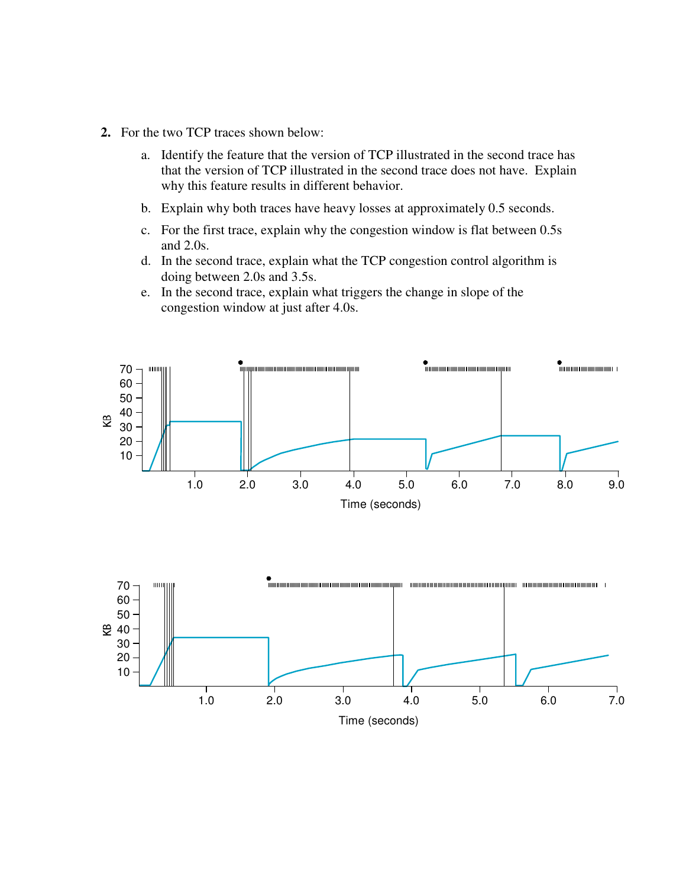- **2.** For the two TCP traces shown below:
	- a. Identify the feature that the version of TCP illustrated in the second trace has that the version of TCP illustrated in the second trace does not have. Explain why this feature results in different behavior.
	- b. Explain why both traces have heavy losses at approximately 0.5 seconds.
	- c. For the first trace, explain why the congestion window is flat between 0.5s and 2.0s.
	- d. In the second trace, explain what the TCP congestion control algorithm is doing between 2.0s and 3.5s.
	- e. In the second trace, explain what triggers the change in slope of the congestion window at just after 4.0s.